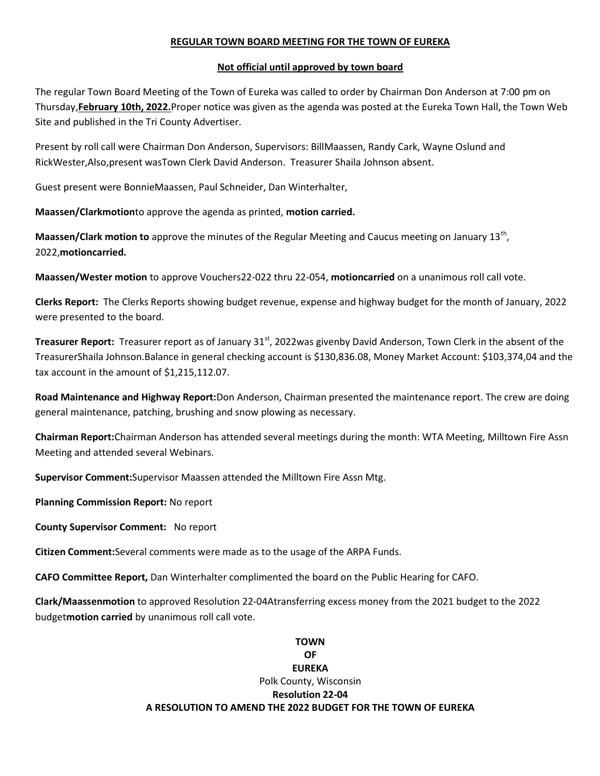## REGULAR TOWN BOARD MEETING FOR THE TOWN OF EUREKA

## Not official until approved by town board

The regular Town Board Meeting of the Town of Eureka was called to order by Chairman Don Anderson at 7:00 pm on Thursday,February 10th, 2022.Proper notice was given as the agenda was posted at the Eureka Town Hall, the Town Web Site and published in the Tri County Advertiser.

Present by roll call were Chairman Don Anderson, Supervisors: BillMaassen, Randy Cark, Wayne Oslund and RickWester,Also,present wasTown Clerk David Anderson. Treasurer Shaila Johnson absent.

Guest present were BonnieMaassen, Paul Schneider, Dan Winterhalter,

Maassen/Clarkmotionto approve the agenda as printed, motion carried.

Maassen/Clark motion to approve the minutes of the Regular Meeting and Caucus meeting on January 13<sup>th</sup>, 2022,motioncarried.

Maassen/Wester motion to approve Vouchers22-022 thru 22-054, motioncarried on a unanimous roll call vote.

Clerks Report: The Clerks Reports showing budget revenue, expense and highway budget for the month of January, 2022 were presented to the board.

Treasurer Report: Treasurer report as of January 31<sup>st</sup>, 2022was givenby David Anderson, Town Clerk in the absent of the TreasurerShaila Johnson.Balance in general checking account is \$130,836.08, Money Market Account: \$103,374,04 and the tax account in the amount of \$1,215,112.07.

Road Maintenance and Highway Report:Don Anderson, Chairman presented the maintenance report. The crew are doing general maintenance, patching, brushing and snow plowing as necessary.

Chairman Report:Chairman Anderson has attended several meetings during the month: WTA Meeting, Milltown Fire Assn Meeting and attended several Webinars.

Supervisor Comment:Supervisor Maassen attended the Milltown Fire Assn Mtg.

Planning Commission Report: No report

County Supervisor Comment: No report

Citizen Comment:Several comments were made as to the usage of the ARPA Funds.

CAFO Committee Report, Dan Winterhalter complimented the board on the Public Hearing for CAFO.

Clark/Maassenmotion to approved Resolution 22-04Atransferring excess money from the 2021 budget to the 2022 budget motion carried by unanimous roll call vote.

## TOWN OF EUREKA Polk County, Wisconsin Resolution 22-04 A RESOLUTION TO AMEND THE 2022 BUDGET FOR THE TOWN OF EUREKA